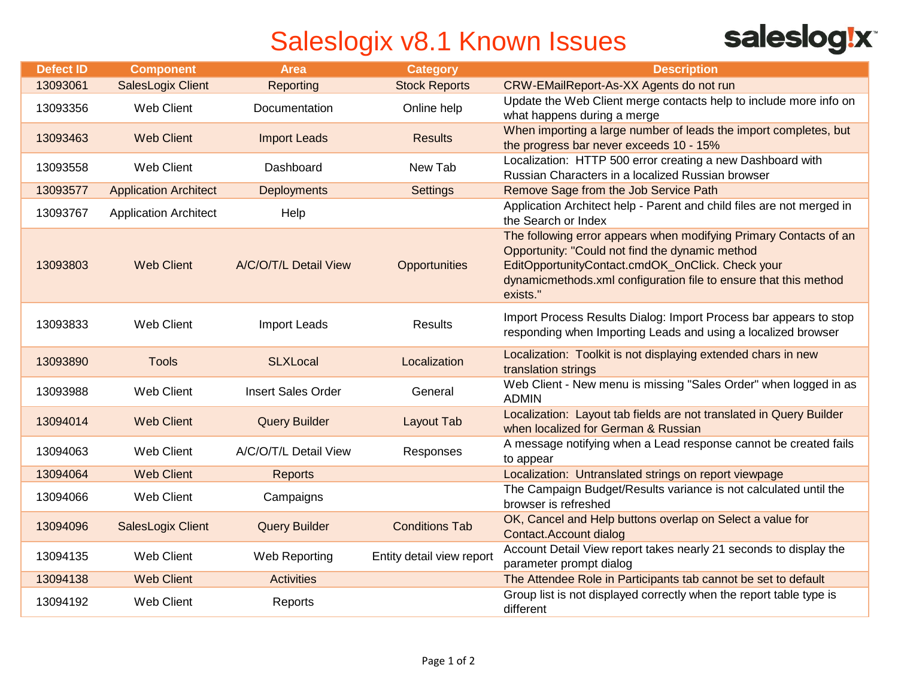## Saleslogix v8.1 Known Issues

| <b>saleslog!x</b> |  |  |
|-------------------|--|--|

| <b>Defect ID</b> | <b>Component</b>             | <b>Area</b>               | <b>Category</b>           | <b>Description</b>                                                                                                                                                                                                                                       |
|------------------|------------------------------|---------------------------|---------------------------|----------------------------------------------------------------------------------------------------------------------------------------------------------------------------------------------------------------------------------------------------------|
| 13093061         | <b>SalesLogix Client</b>     | Reporting                 | <b>Stock Reports</b>      | CRW-EMailReport-As-XX Agents do not run                                                                                                                                                                                                                  |
| 13093356         | <b>Web Client</b>            | Documentation             | Online help               | Update the Web Client merge contacts help to include more info on<br>what happens during a merge                                                                                                                                                         |
| 13093463         | <b>Web Client</b>            | <b>Import Leads</b>       | <b>Results</b>            | When importing a large number of leads the import completes, but<br>the progress bar never exceeds 10 - 15%                                                                                                                                              |
| 13093558         | <b>Web Client</b>            | Dashboard                 | New Tab                   | Localization: HTTP 500 error creating a new Dashboard with<br>Russian Characters in a localized Russian browser                                                                                                                                          |
| 13093577         | <b>Application Architect</b> | Deployments               | <b>Settings</b>           | Remove Sage from the Job Service Path                                                                                                                                                                                                                    |
| 13093767         | <b>Application Architect</b> | Help                      |                           | Application Architect help - Parent and child files are not merged in<br>the Search or Index                                                                                                                                                             |
| 13093803         | <b>Web Client</b>            | A/C/O/T/L Detail View     | Opportunities             | The following error appears when modifying Primary Contacts of an<br>Opportunity: "Could not find the dynamic method<br>EditOpportunityContact.cmdOK_OnClick. Check your<br>dynamicmethods.xml configuration file to ensure that this method<br>exists." |
| 13093833         | <b>Web Client</b>            | <b>Import Leads</b>       | <b>Results</b>            | Import Process Results Dialog: Import Process bar appears to stop<br>responding when Importing Leads and using a localized browser                                                                                                                       |
| 13093890         | <b>Tools</b>                 | <b>SLXLocal</b>           | Localization              | Localization: Toolkit is not displaying extended chars in new<br>translation strings                                                                                                                                                                     |
| 13093988         | <b>Web Client</b>            | <b>Insert Sales Order</b> | General                   | Web Client - New menu is missing "Sales Order" when logged in as<br><b>ADMIN</b>                                                                                                                                                                         |
| 13094014         | <b>Web Client</b>            | <b>Query Builder</b>      | Layout Tab                | Localization: Layout tab fields are not translated in Query Builder<br>when localized for German & Russian                                                                                                                                               |
| 13094063         | <b>Web Client</b>            | A/C/O/T/L Detail View     | Responses                 | A message notifying when a Lead response cannot be created fails<br>to appear                                                                                                                                                                            |
| 13094064         | <b>Web Client</b>            | <b>Reports</b>            |                           | Localization: Untranslated strings on report viewpage                                                                                                                                                                                                    |
| 13094066         | <b>Web Client</b>            | Campaigns                 |                           | The Campaign Budget/Results variance is not calculated until the<br>browser is refreshed                                                                                                                                                                 |
| 13094096         | <b>SalesLogix Client</b>     | <b>Query Builder</b>      | <b>Conditions Tab</b>     | OK, Cancel and Help buttons overlap on Select a value for<br>Contact. Account dialog                                                                                                                                                                     |
| 13094135         | <b>Web Client</b>            | Web Reporting             | Entity detail view report | Account Detail View report takes nearly 21 seconds to display the<br>parameter prompt dialog                                                                                                                                                             |
| 13094138         | <b>Web Client</b>            | <b>Activities</b>         |                           | The Attendee Role in Participants tab cannot be set to default                                                                                                                                                                                           |
| 13094192         | <b>Web Client</b>            | Reports                   |                           | Group list is not displayed correctly when the report table type is<br>different                                                                                                                                                                         |